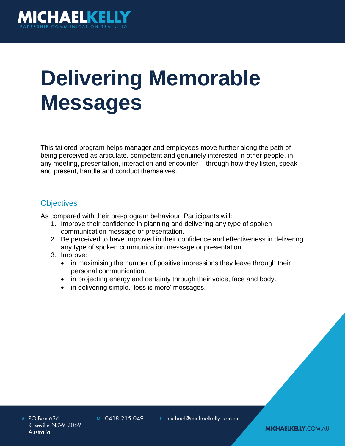

# **Delivering Memorable Messages**

This tailored program helps manager and employees move further along the path of being perceived as articulate, competent and genuinely interested in other people, in any meeting, presentation, interaction and encounter – through how they listen, speak and present, handle and conduct themselves.

# **Objectives**

As compared with their pre-program behaviour, Participants will:

- 1. Improve their confidence in planning and delivering any type of spoken communication message or presentation.
- 2. Be perceived to have improved in their confidence and effectiveness in delivering any type of spoken communication message or presentation.
- 3. Improve:
	- in maximising the number of positive impressions they leave through their personal communication.
	- in projecting energy and certainty through their voice, face and body.
	- in delivering simple, 'less is more' messages.

M 0418 215 049